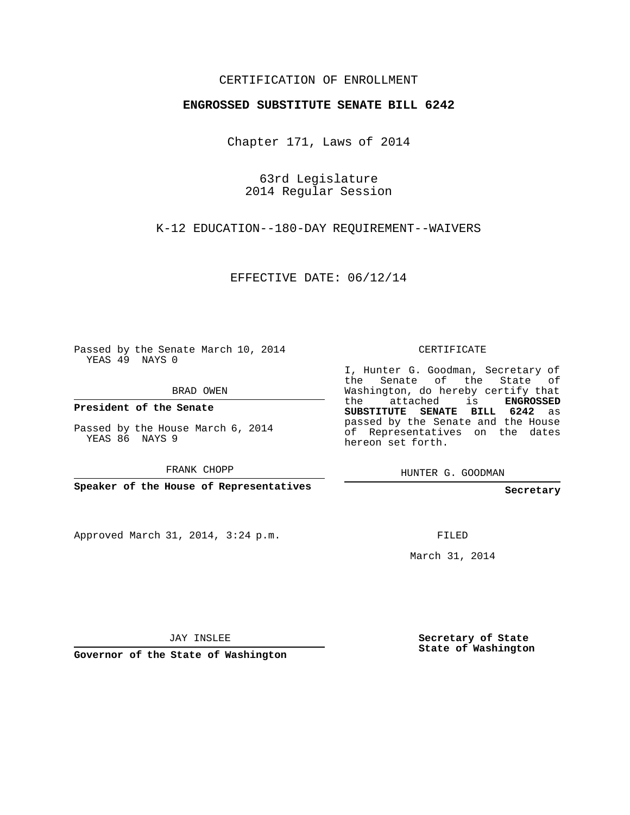## CERTIFICATION OF ENROLLMENT

## **ENGROSSED SUBSTITUTE SENATE BILL 6242**

Chapter 171, Laws of 2014

63rd Legislature 2014 Regular Session

K-12 EDUCATION--180-DAY REQUIREMENT--WAIVERS

EFFECTIVE DATE: 06/12/14

Passed by the Senate March 10, 2014 YEAS 49 NAYS 0

BRAD OWEN

**President of the Senate**

Passed by the House March 6, 2014 YEAS 86 NAYS 9

FRANK CHOPP

**Speaker of the House of Representatives**

Approved March 31, 2014, 3:24 p.m.

CERTIFICATE

I, Hunter G. Goodman, Secretary of the Senate of the State of Washington, do hereby certify that the attached is **ENGROSSED SUBSTITUTE SENATE BILL 6242** as passed by the Senate and the House of Representatives on the dates hereon set forth.

HUNTER G. GOODMAN

**Secretary**

FILED

March 31, 2014

JAY INSLEE

**Governor of the State of Washington**

**Secretary of State State of Washington**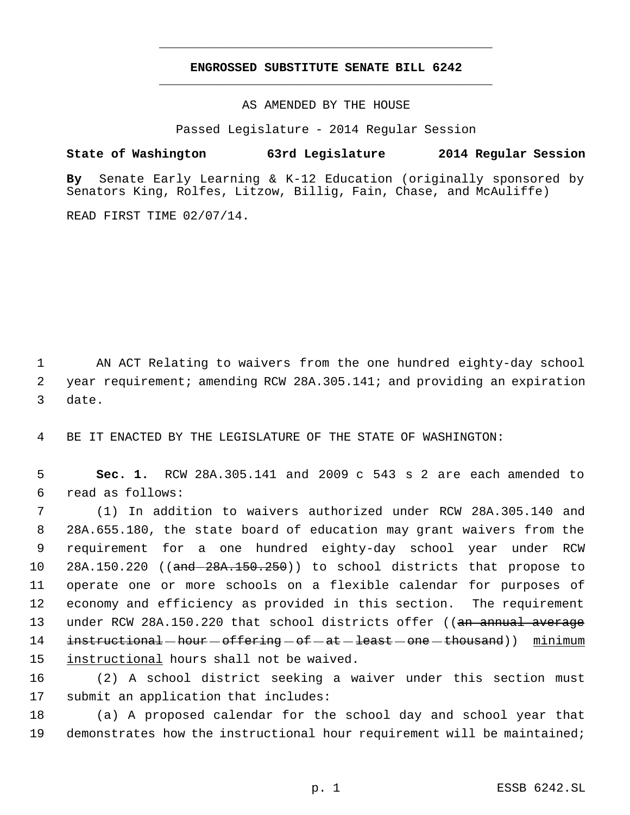## **ENGROSSED SUBSTITUTE SENATE BILL 6242** \_\_\_\_\_\_\_\_\_\_\_\_\_\_\_\_\_\_\_\_\_\_\_\_\_\_\_\_\_\_\_\_\_\_\_\_\_\_\_\_\_\_\_\_\_

\_\_\_\_\_\_\_\_\_\_\_\_\_\_\_\_\_\_\_\_\_\_\_\_\_\_\_\_\_\_\_\_\_\_\_\_\_\_\_\_\_\_\_\_\_

AS AMENDED BY THE HOUSE

Passed Legislature - 2014 Regular Session

**State of Washington 63rd Legislature 2014 Regular Session**

**By** Senate Early Learning & K-12 Education (originally sponsored by Senators King, Rolfes, Litzow, Billig, Fain, Chase, and McAuliffe)

READ FIRST TIME 02/07/14.

 1 AN ACT Relating to waivers from the one hundred eighty-day school 2 year requirement; amending RCW 28A.305.141; and providing an expiration 3 date.

4 BE IT ENACTED BY THE LEGISLATURE OF THE STATE OF WASHINGTON:

 5 **Sec. 1.** RCW 28A.305.141 and 2009 c 543 s 2 are each amended to 6 read as follows:

 (1) In addition to waivers authorized under RCW 28A.305.140 and 28A.655.180, the state board of education may grant waivers from the requirement for a one hundred eighty-day school year under RCW 10 28A.150.220 ((and -28A.150.250)) to school districts that propose to operate one or more schools on a flexible calendar for purposes of economy and efficiency as provided in this section. The requirement 13 under RCW 28A.150.220 that school districts offer ((an annual average 14 instructional hour offering of at least one thousand) minimum instructional hours shall not be waived.

16 (2) A school district seeking a waiver under this section must 17 submit an application that includes:

18 (a) A proposed calendar for the school day and school year that 19 demonstrates how the instructional hour requirement will be maintained;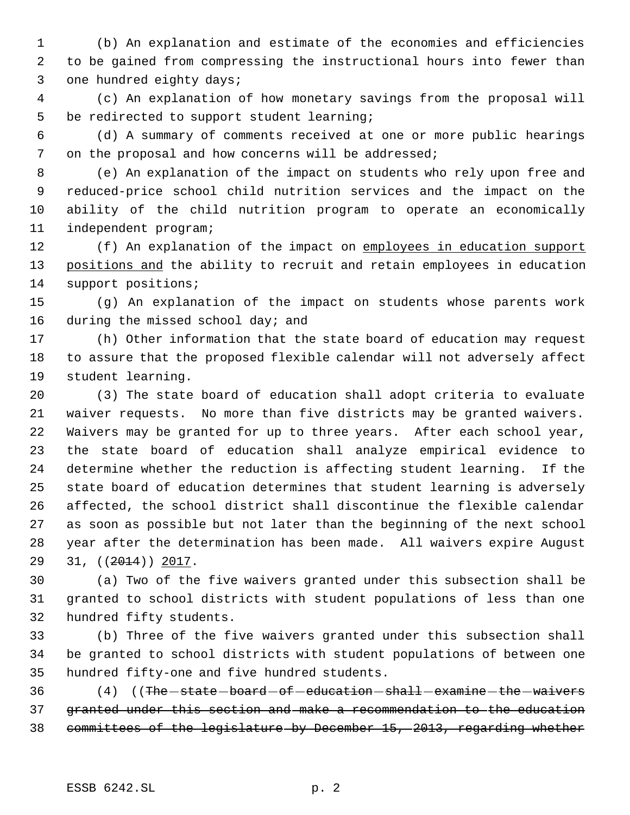(b) An explanation and estimate of the economies and efficiencies to be gained from compressing the instructional hours into fewer than one hundred eighty days;

 (c) An explanation of how monetary savings from the proposal will be redirected to support student learning;

 (d) A summary of comments received at one or more public hearings on the proposal and how concerns will be addressed;

 (e) An explanation of the impact on students who rely upon free and reduced-price school child nutrition services and the impact on the ability of the child nutrition program to operate an economically independent program;

12 (f) An explanation of the impact on employees in education support 13 positions and the ability to recruit and retain employees in education support positions;

 (g) An explanation of the impact on students whose parents work 16 during the missed school day; and

 (h) Other information that the state board of education may request to assure that the proposed flexible calendar will not adversely affect student learning.

 (3) The state board of education shall adopt criteria to evaluate waiver requests. No more than five districts may be granted waivers. Waivers may be granted for up to three years. After each school year, the state board of education shall analyze empirical evidence to determine whether the reduction is affecting student learning. If the state board of education determines that student learning is adversely affected, the school district shall discontinue the flexible calendar as soon as possible but not later than the beginning of the next school year after the determination has been made. All waivers expire August 29 31, ((<del>2014</del>)) 2017.

 (a) Two of the five waivers granted under this subsection shall be granted to school districts with student populations of less than one hundred fifty students.

 (b) Three of the five waivers granted under this subsection shall be granted to school districts with student populations of between one hundred fifty-one and five hundred students.

36 (4) ((The -state -board -of -education -shall -examine -the -waivers granted under this section and make a recommendation to the education committees of the legislature by December 15, 2013, regarding whether